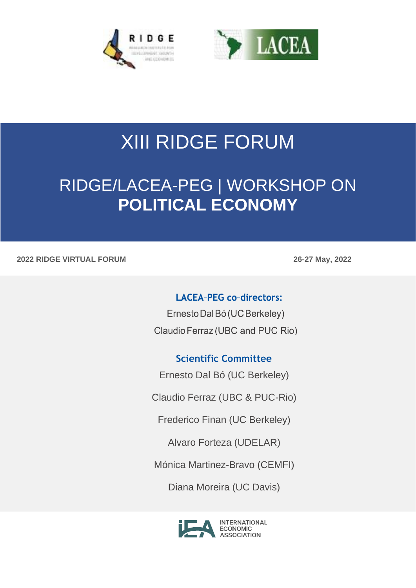



# XIII RIDGE FORUM

## RIDGE/LACEA-PEG | WORKSHOP ON **POLITICAL ECONOMY**

#### **2022 RIDGE VIRTUAL FORUM 26-27 May, 2022**

#### **LACEA-PEG co-directors:**

Ernesto Dal Bó (UC Berkeley) Claudio Ferraz (UBC and PUC Rio)

### **Scientific Committee**

Ernesto Dal Bó (UC Berkeley)

Claudio Ferraz (UBC & PUC-Rio)

Frederico Finan (UC Berkeley)

Alvaro Forteza (UDELAR)

Mónica Martinez-Bravo (CEMFI)

Diana Moreira (UC Davis)

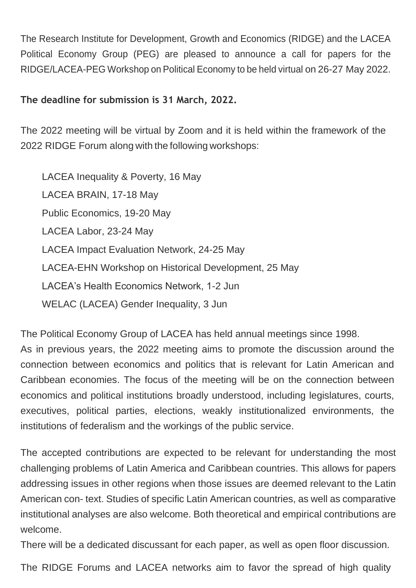The Research Institute for Development, Growth and Economics (RIDGE) and the LACEA Political Economy Group (PEG) are pleased to announce a call for papers for the RIDGE/LACEA-PEG Workshop on Political Economy to be held virtual on 26-27 May 2022.

#### **The deadline for submission is 31 March, 2022.**

The 2022 meeting will be virtual by Zoom and it is held within the framework of the 2022 RIDGE Forum along with the following workshops:

LACEA Inequality & Poverty, 16 May LACEA BRAIN, 17-18 May Public Economics, 19-20 May LACEA Labor, 23-24 May LACEA Impact Evaluation Network, 24-25 May LACEA-EHN Workshop on Historical Development, 25 May LACEA's Health Economics Network, 1-2 Jun WELAC (LACEA) Gender Inequality, 3 Jun

The Political Economy Group of LACEA has held annual meetings since 1998.

As in previous years, the 2022 meeting aims to promote the discussion around the connection between economics and politics that is relevant for Latin American and Caribbean economies. The focus of the meeting will be on the connection between economics and political institutions broadly understood, including legislatures, courts, executives, political parties, elections, weakly institutionalized environments, the institutions of federalism and the workings of the public service.

The accepted contributions are expected to be relevant for understanding the most challenging problems of Latin America and Caribbean countries. This allows for papers addressing issues in other regions when those issues are deemed relevant to the Latin American con- text. Studies of specific Latin American countries, as well as comparative institutional analyses are also welcome. Both theoretical and empirical contributions are welcome.

There will be a dedicated discussant for each paper, as well as open floor discussion.

The RIDGE Forums and LACEA networks aim to favor the spread of high quality